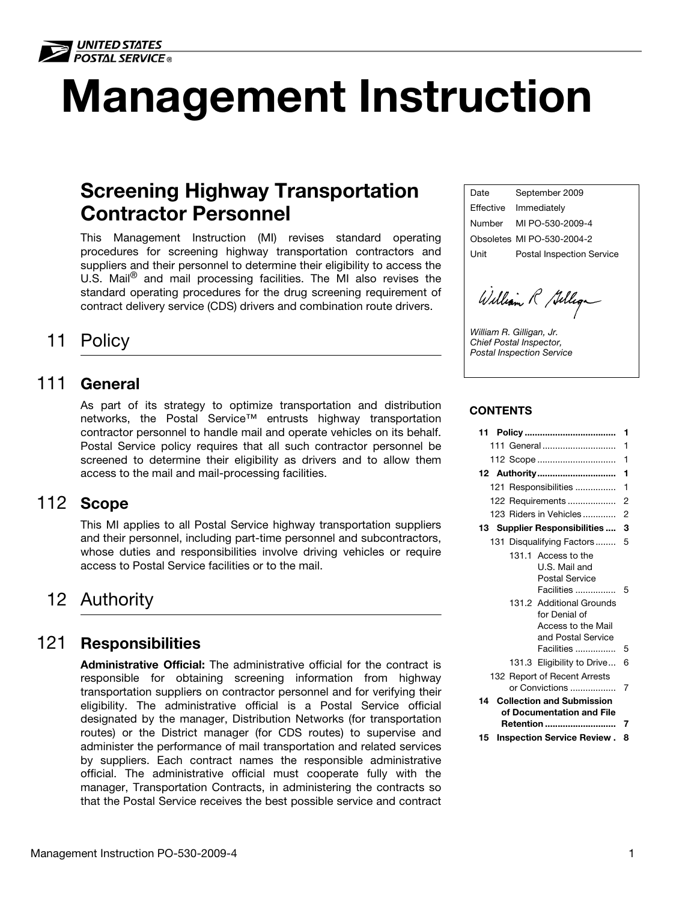

# Management Instruction

# Screening Highway Transportation Contractor Personnel

This Management Instruction (MI) revises standard operating procedures for screening highway transportation contractors and suppliers and their personnel to determine their eligibility to access the U.S. Mail<sup>®</sup> and mail processing facilities. The MI also revises the standard operating procedures for the drug screening requirement of contract delivery service (CDS) drivers and combination route drivers.

# 11 Policy

### <span id="page-0-0"></span>111 General

As part of its strategy to optimize transportation and distribution networks, the Postal Service™ entrusts highway transportation contractor personnel to handle mail and operate vehicles on its behalf. Postal Service policy requires that all such contractor personnel be screened to determine their eligibility as drivers and to allow them access to the mail and mail-processing facilities.

# <span id="page-0-1"></span>112 Scope

This MI applies to all Postal Service highway transportation suppliers and their personnel, including part-time personnel and subcontractors, whose duties and responsibilities involve driving vehicles or require access to Postal Service facilities or to the mail.

# <span id="page-0-2"></span>12 Authority

## <span id="page-0-3"></span>121 Responsibilities

Administrative Official: The administrative official for the contract is responsible for obtaining screening information from highway transportation suppliers on contractor personnel and for verifying their eligibility. The administrative official is a Postal Service official designated by the manager, Distribution Networks (for transportation routes) or the District manager (for CDS routes) to supervise and administer the performance of mail transportation and related services by suppliers. Each contract names the responsible administrative official. The administrative official must cooperate fully with the manager, Transportation Contracts, in administering the contracts so that the Postal Service receives the best possible service and contract Date September 2009 Effective Immediately Number MI PO-530-2009-4 Obsoletes MI PO-530-2004-2 Unit Postal Inspection Service

William R Gilliga

William R. Gilligan, Jr. Chief Postal Inspector, Postal Inspection Service

#### **CONTENTS**

|                                                                                       | 1 |
|---------------------------------------------------------------------------------------|---|
| 111 General                                                                           | 1 |
| 112 Scope                                                                             | 1 |
| 12 Authority                                                                          | 1 |
| 121 Responsibilities                                                                  | 1 |
| 122 Requirements                                                                      | 2 |
| 123 Riders in Vehicles                                                                | 2 |
| 13 Supplier Responsibilities                                                          | 3 |
| 131 Disqualifying Factors                                                             | 5 |
| 131.1 Access to the<br>U.S. Mail and<br><b>Postal Service</b><br>Facilities           | 5 |
| 131.2 Additional Grounds<br>for Denial of<br>Access to the Mail<br>and Postal Service |   |
| Facilities                                                                            | 5 |
| 131.3 Eligibility to Drive                                                            | 6 |
| 132 Report of Recent Arrests<br>or Convictions                                        | 7 |
| <b>Collection and Submission</b><br>14                                                |   |
| of Documentation and File                                                             |   |
| <b>Retention </b>                                                                     | 7 |
| Inspection Service Review.<br>15                                                      | 8 |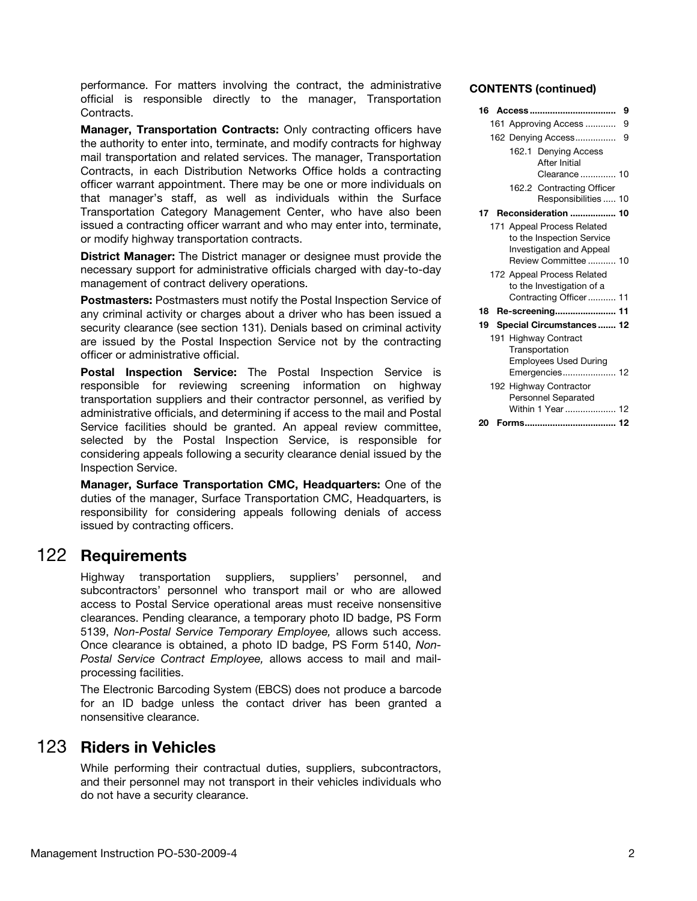performance. For matters involving the contract, the administrative official is responsible directly to the manager, Transportation Contracts.

Manager, Transportation Contracts: Only contracting officers have the authority to enter into, terminate, and modify contracts for highway mail transportation and related services. The manager, Transportation Contracts, in each Distribution Networks Office holds a contracting officer warrant appointment. There may be one or more individuals on that manager's staff, as well as individuals within the Surface Transportation Category Management Center, who have also been issued a contracting officer warrant and who may enter into, terminate, or modify highway transportation contracts.

District Manager: The District manager or designee must provide the necessary support for administrative officials charged with day-to-day management of contract delivery operations.

Postmasters: Postmasters must notify the Postal Inspection Service of any criminal activity or charges about a driver who has been issued a security clearance (see section 131). Denials based on criminal activity are issued by the Postal Inspection Service not by the contracting officer or administrative official.

Postal Inspection Service: The Postal Inspection Service is responsible for reviewing screening information on highway transportation suppliers and their contractor personnel, as verified by administrative officials, and determining if access to the mail and Postal Service facilities should be granted. An appeal review committee, selected by the Postal Inspection Service, is responsible for considering appeals following a security clearance denial issued by the Inspection Service.

Manager, Surface Transportation CMC, Headquarters: One of the duties of the manager, Surface Transportation CMC, Headquarters, is responsibility for considering appeals following denials of access issued by contracting officers.

# <span id="page-1-0"></span>122 Requirements

Highway transportation suppliers, suppliers' personnel, and subcontractors' personnel who transport mail or who are allowed access to Postal Service operational areas must receive nonsensitive clearances. Pending clearance, a temporary photo ID badge, PS Form 5139, Non-Postal Service Temporary Employee, allows such access. Once clearance is obtained, a photo ID badge, PS Form 5140, Non-Postal Service Contract Employee, allows access to mail and mailprocessing facilities.

The Electronic Barcoding System (EBCS) does not produce a barcode for an ID badge unless the contact driver has been granted a nonsensitive clearance.

### <span id="page-1-1"></span>123 Riders in Vehicles

While performing their contractual duties, suppliers, subcontractors, and their personnel may not transport in their vehicles individuals who do not have a security clearance.

#### CONTENTS (continued)

| 16 | 9                                                                                                                  |
|----|--------------------------------------------------------------------------------------------------------------------|
|    | 161 Approving Access<br>9                                                                                          |
|    | 9<br>162 Denying Access                                                                                            |
|    | 162.1 Denying Access<br>After Initial<br>Clearance  10                                                             |
|    | 162.2 Contracting Officer<br>Responsibilities  10                                                                  |
| 17 | <b>Reconsideration  10</b>                                                                                         |
|    | 171 Appeal Process Related<br>to the Inspection Service<br><b>Investigation and Appeal</b><br>Review Committee  10 |
|    | 172 Appeal Process Related<br>to the Investigation of a<br>Contracting Officer 11                                  |
| 18 | Re-screening 11                                                                                                    |
| 19 | Special Circumstances 12                                                                                           |
|    | 191 Highway Contract<br>Transportation<br><b>Employees Used During</b><br>Emergencies 12                           |
|    | 192 Highway Contractor<br><b>Personnel Separated</b><br>Within 1 Year  12                                          |
| 20 |                                                                                                                    |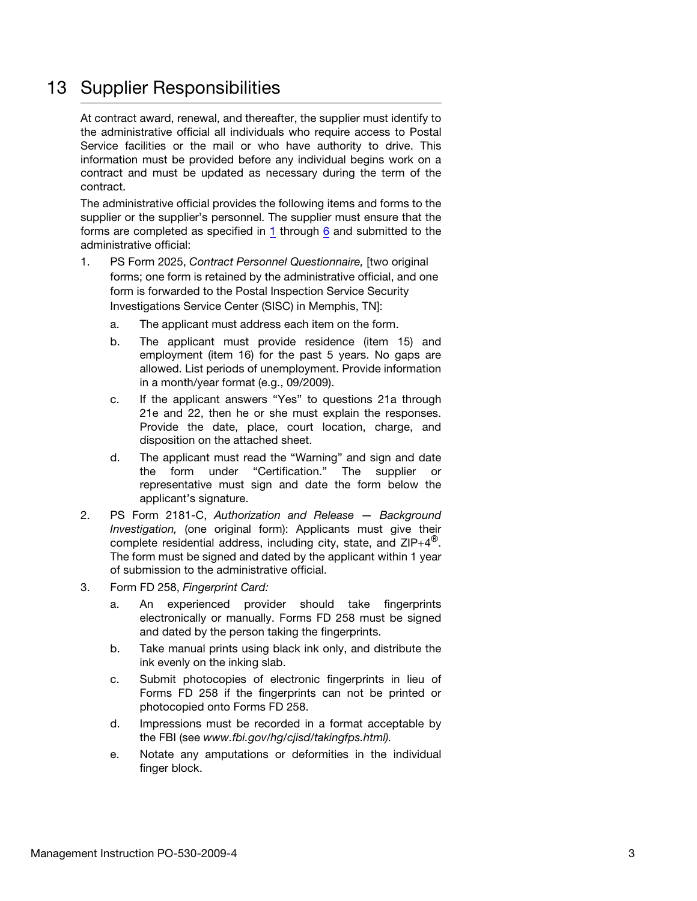# <span id="page-2-0"></span>13 Supplier Responsibilities

At contract award, renewal, and thereafter, the supplier must identify to the administrative official all individuals who require access to Postal Service facilities or the mail or who have authority to drive. This information must be provided before any individual begins work on a contract and must be updated as necessary during the term of the contract.

The administrative official provides the following items and forms to the supplier or the supplier's personnel. The supplier must ensure that the forms are completed as specified in [1](#page-2-1) through [6](#page-3-0) and submitted to the administrative official:

- <span id="page-2-1"></span>1. PS Form 2025, Contract Personnel Questionnaire, [two original forms; one form is retained by the administrative official, and one form is forwarded to the Postal Inspection Service Security Investigations Service Center (SISC) in Memphis, TN]:
	- a. The applicant must address each item on the form.
	- b. The applicant must provide residence (item 15) and employment (item 16) for the past 5 years. No gaps are allowed. List periods of unemployment. Provide information in a month/year format (e.g., 09/2009).
	- c. If the applicant answers "Yes" to questions 21a through 21e and 22, then he or she must explain the responses. Provide the date, place, court location, charge, and disposition on the attached sheet.
	- d. The applicant must read the "Warning" and sign and date the form under "Certification." The supplier or representative must sign and date the form below the applicant's signature.
- 2. PS Form 2181-C, Authorization and Release Background Investigation, (one original form): Applicants must give their complete residential address, including city, state, and  $ZIP+4^{\circledcirc}$ . The form must be signed and dated by the applicant within 1 year of submission to the administrative official.
- 3. Form FD 258, Fingerprint Card:
	- a. An experienced provider should take fingerprints electronically or manually. Forms FD 258 must be signed and dated by the person taking the fingerprints.
	- b. Take manual prints using black ink only, and distribute the ink evenly on the inking slab.
	- c. Submit photocopies of electronic fingerprints in lieu of Forms FD 258 if the fingerprints can not be printed or photocopied onto Forms FD 258.
	- d. Impressions must be recorded in a format acceptable by the FBI (see www.fbi.gov/hg/cjisd/takingfps.html).
	- e. Notate any amputations or deformities in the individual finger block.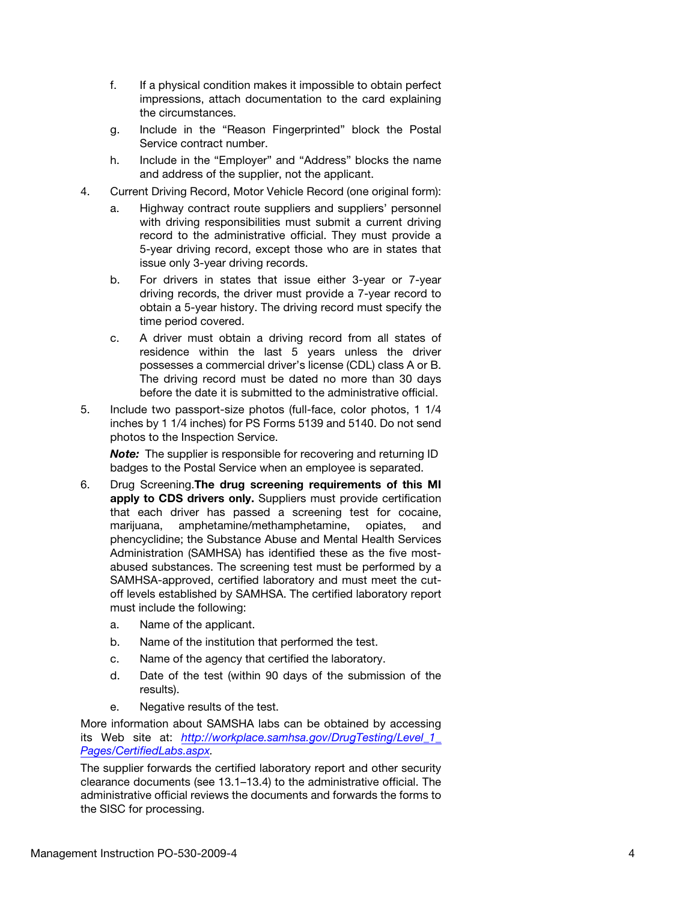- f. If a physical condition makes it impossible to obtain perfect impressions, attach documentation to the card explaining the circumstances.
- g. Include in the "Reason Fingerprinted" block the Postal Service contract number.
- h. Include in the "Employer" and "Address" blocks the name and address of the supplier, not the applicant.
- 4. Current Driving Record, Motor Vehicle Record (one original form):
	- a. Highway contract route suppliers and suppliers' personnel with driving responsibilities must submit a current driving record to the administrative official. They must provide a 5-year driving record, except those who are in states that issue only 3-year driving records.
	- b. For drivers in states that issue either 3-year or 7-year driving records, the driver must provide a 7-year record to obtain a 5-year history. The driving record must specify the time period covered.
	- c. A driver must obtain a driving record from all states of residence within the last 5 years unless the driver possesses a commercial driver's license (CDL) class A or B. The driving record must be dated no more than 30 days before the date it is submitted to the administrative official.
- 5. Include two passport-size photos (full-face, color photos, 1 1/4 inches by 1 1/4 inches) for PS Forms 5139 and 5140. Do not send photos to the Inspection Service.

Note: The supplier is responsible for recovering and returning ID badges to the Postal Service when an employee is separated.

- <span id="page-3-0"></span>6. Drug Screening.The drug screening requirements of this MI apply to CDS drivers only. Suppliers must provide certification that each driver has passed a screening test for cocaine, marijuana, amphetamine/methamphetamine, opiates, and phencyclidine; the Substance Abuse and Mental Health Services Administration (SAMHSA) has identified these as the five mostabused substances. The screening test must be performed by a SAMHSA-approved, certified laboratory and must meet the cutoff levels established by SAMHSA. The certified laboratory report must include the following:
	- a. Name of the applicant.
	- b. Name of the institution that performed the test.
	- c. Name of the agency that certified the laboratory.
	- d. Date of the test (within 90 days of the submission of the results).
	- e. Negative results of the test.

More information about SAMSHA labs can be obtained by accessing its Web site at: http://workplace.samhsa.gov/DrugTesting/Level 1 [Pages/CertifiedLabs.aspx](http://workplace.samhsa.gov/DrugTesting/Level_1_Pages/CertifiedLabs.aspx).

The supplier forwards the certified laboratory report and other security clearance documents (see 13.1–13.4) to the administrative official. The administrative official reviews the documents and forwards the forms to the SISC for processing.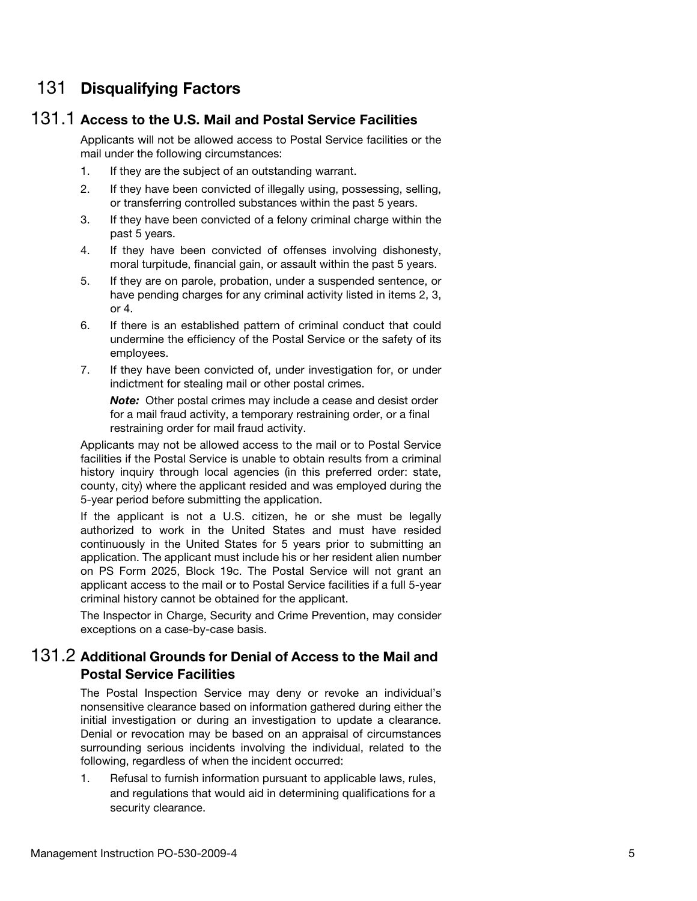# <span id="page-4-0"></span>131 Disqualifying Factors

### <span id="page-4-1"></span>131.1 Access to the U.S. Mail and Postal Service Facilities

Applicants will not be allowed access to Postal Service facilities or the mail under the following circumstances:

- 1. If they are the subject of an outstanding warrant.
- 2. If they have been convicted of illegally using, possessing, selling, or transferring controlled substances within the past 5 years.
- 3. If they have been convicted of a felony criminal charge within the past 5 years.
- 4. If they have been convicted of offenses involving dishonesty, moral turpitude, financial gain, or assault within the past 5 years.
- 5. If they are on parole, probation, under a suspended sentence, or have pending charges for any criminal activity listed in items 2, 3, or 4.
- 6. If there is an established pattern of criminal conduct that could undermine the efficiency of the Postal Service or the safety of its employees.
- 7. If they have been convicted of, under investigation for, or under indictment for stealing mail or other postal crimes.

Note: Other postal crimes may include a cease and desist order for a mail fraud activity, a temporary restraining order, or a final restraining order for mail fraud activity.

Applicants may not be allowed access to the mail or to Postal Service facilities if the Postal Service is unable to obtain results from a criminal history inquiry through local agencies (in this preferred order: state, county, city) where the applicant resided and was employed during the 5-year period before submitting the application.

If the applicant is not a U.S. citizen, he or she must be legally authorized to work in the United States and must have resided continuously in the United States for 5 years prior to submitting an application. The applicant must include his or her resident alien number on PS Form 2025, Block 19c. The Postal Service will not grant an applicant access to the mail or to Postal Service facilities if a full 5-year criminal history cannot be obtained for the applicant.

The Inspector in Charge, Security and Crime Prevention, may consider exceptions on a case-by-case basis.

### <span id="page-4-2"></span>131.2 Additional Grounds for Denial of Access to the Mail and Postal Service Facilities

The Postal Inspection Service may deny or revoke an individual's nonsensitive clearance based on information gathered during either the initial investigation or during an investigation to update a clearance. Denial or revocation may be based on an appraisal of circumstances surrounding serious incidents involving the individual, related to the following, regardless of when the incident occurred:

1. Refusal to furnish information pursuant to applicable laws, rules, and regulations that would aid in determining qualifications for a security clearance.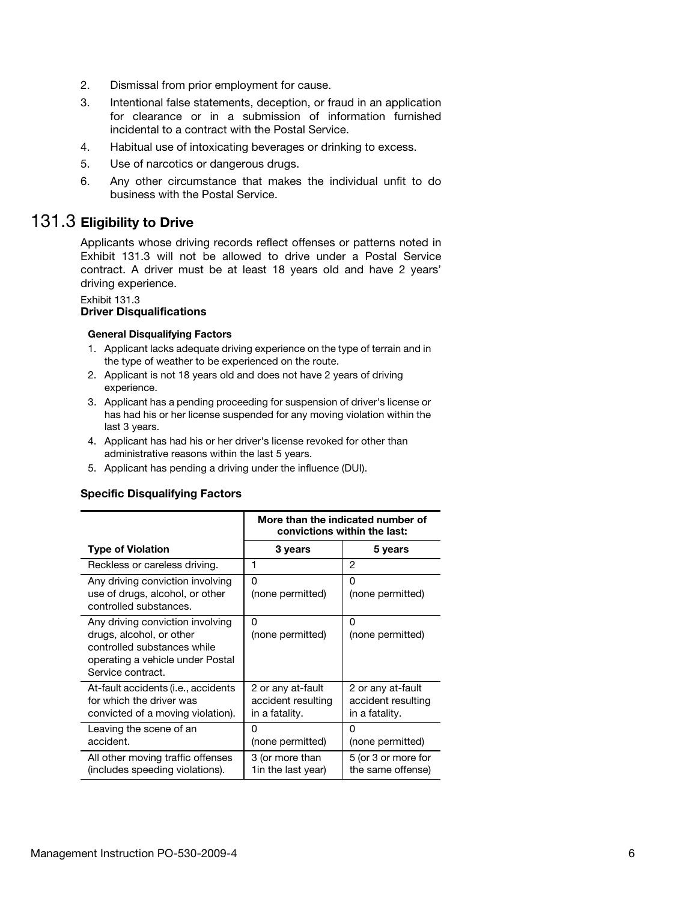- 2. Dismissal from prior employment for cause.
- 3. Intentional false statements, deception, or fraud in an application for clearance or in a submission of information furnished incidental to a contract with the Postal Service.
- 4. Habitual use of intoxicating beverages or drinking to excess.
- 5. Use of narcotics or dangerous drugs.
- 6. Any other circumstance that makes the individual unfit to do business with the Postal Service.

# <span id="page-5-0"></span>131.3 Eligibility to Drive

Applicants whose driving records reflect offenses or patterns noted in Exhibit 131.3 will not be allowed to drive under a Postal Service contract. A driver must be at least 18 years old and have 2 years' driving experience.

#### Exhibit 131.3

#### Driver Disqualifications

#### General Disqualifying Factors

- 1. Applicant lacks adequate driving experience on the type of terrain and in the type of weather to be experienced on the route.
- 2. Applicant is not 18 years old and does not have 2 years of driving experience.
- 3. Applicant has a pending proceeding for suspension of driver's license or has had his or her license suspended for any moving violation within the last 3 years.
- 4. Applicant has had his or her driver's license revoked for other than administrative reasons within the last 5 years.
- 5. Applicant has pending a driving under the influence (DUI).

#### Specific Disqualifying Factors

|                                                                                                                                                      | More than the indicated number of<br>convictions within the last: |                                                           |
|------------------------------------------------------------------------------------------------------------------------------------------------------|-------------------------------------------------------------------|-----------------------------------------------------------|
| <b>Type of Violation</b>                                                                                                                             | 3 years                                                           | 5 years                                                   |
| Reckless or careless driving.                                                                                                                        | 1                                                                 | 2                                                         |
| Any driving conviction involving<br>use of drugs, alcohol, or other<br>controlled substances.                                                        | ŋ<br>(none permitted)                                             | 0<br>(none permitted)                                     |
| Any driving conviction involving<br>drugs, alcohol, or other<br>controlled substances while<br>operating a vehicle under Postal<br>Service contract. | n<br>(none permitted)                                             | O<br>(none permitted)                                     |
| At-fault accidents (i.e., accidents<br>for which the driver was<br>convicted of a moving violation).                                                 | 2 or any at-fault<br>accident resulting<br>in a fatality.         | 2 or any at-fault<br>accident resulting<br>in a fatality. |
| Leaving the scene of an<br>accident.                                                                                                                 | 0<br>(none permitted)                                             | 0<br>(none permitted)                                     |
| All other moving traffic offenses<br>(includes speeding violations).                                                                                 | 3 (or more than<br>1 in the last year)                            | 5 (or 3 or more for<br>the same offense)                  |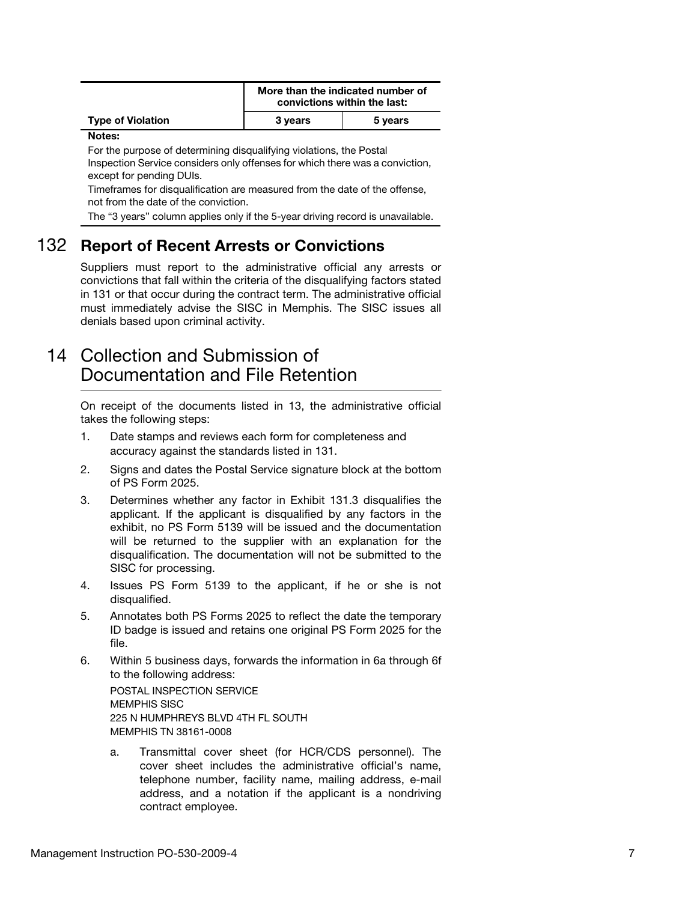|                          | More than the indicated number of<br>convictions within the last: |         |
|--------------------------|-------------------------------------------------------------------|---------|
| <b>Type of Violation</b> | 3 years                                                           | 5 years |

#### Notes:

For the purpose of determining disqualifying violations, the Postal Inspection Service considers only offenses for which there was a conviction, except for pending DUIs.

Timeframes for disqualification are measured from the date of the offense, not from the date of the conviction.

The "3 years" column applies only if the 5-year driving record is unavailable.

### <span id="page-6-0"></span>132 Report of Recent Arrests or Convictions

Suppliers must report to the administrative official any arrests or convictions that fall within the criteria of the disqualifying factors stated in 131 or that occur during the contract term. The administrative official must immediately advise the SISC in Memphis. The SISC issues all denials based upon criminal activity.

# <span id="page-6-1"></span>14 Collection and Submission of Documentation and File Retention

On receipt of the documents listed in 13, the administrative official takes the following steps:

- 1. Date stamps and reviews each form for completeness and accuracy against the standards listed in 131.
- 2. Signs and dates the Postal Service signature block at the bottom of PS Form 2025.
- 3. Determines whether any factor in Exhibit 131.3 disqualifies the applicant. If the applicant is disqualified by any factors in the exhibit, no PS Form 5139 will be issued and the documentation will be returned to the supplier with an explanation for the disqualification. The documentation will not be submitted to the SISC for processing.
- 4. Issues PS Form 5139 to the applicant, if he or she is not disqualified.
- 5. Annotates both PS Forms 2025 to reflect the date the temporary ID badge is issued and retains one original PS Form 2025 for the file.
- 6. Within 5 business days, forwards the information in 6a through 6f to the following address: POSTAL INSPECTION SERVICE MEMPHIS SISC

225 N HUMPHREYS BLVD 4TH FL SOUTH MEMPHIS TN 38161-0008

a. Transmittal cover sheet (for HCR/CDS personnel). The cover sheet includes the administrative official's name, telephone number, facility name, mailing address, e-mail address, and a notation if the applicant is a nondriving contract employee.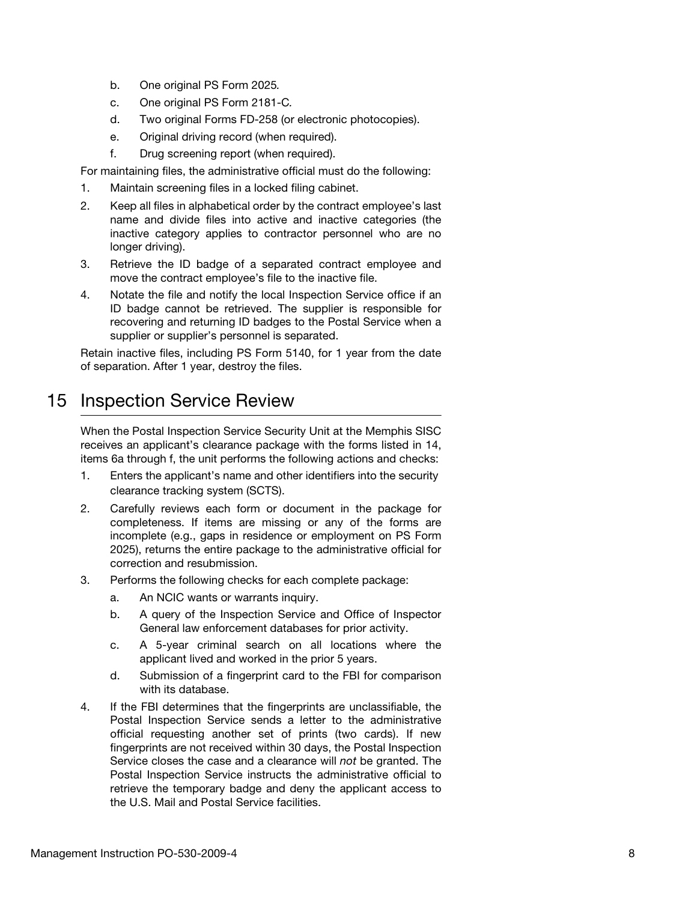- b. One original PS Form 2025.
- c. One original PS Form 2181-C.
- d. Two original Forms FD-258 (or electronic photocopies).
- e. Original driving record (when required).
- f. Drug screening report (when required).

For maintaining files, the administrative official must do the following:

- 1. Maintain screening files in a locked filing cabinet.
- 2. Keep all files in alphabetical order by the contract employee's last name and divide files into active and inactive categories (the inactive category applies to contractor personnel who are no longer driving).
- 3. Retrieve the ID badge of a separated contract employee and move the contract employee's file to the inactive file.
- 4. Notate the file and notify the local Inspection Service office if an ID badge cannot be retrieved. The supplier is responsible for recovering and returning ID badges to the Postal Service when a supplier or supplier's personnel is separated.

Retain inactive files, including PS Form 5140, for 1 year from the date of separation. After 1 year, destroy the files.

# <span id="page-7-0"></span>15 Inspection Service Review

When the Postal Inspection Service Security Unit at the Memphis SISC receives an applicant's clearance package with the forms listed in 14, items 6a through f, the unit performs the following actions and checks:

- 1. Enters the applicant's name and other identifiers into the security clearance tracking system (SCTS).
- 2. Carefully reviews each form or document in the package for completeness. If items are missing or any of the forms are incomplete (e.g., gaps in residence or employment on PS Form 2025), returns the entire package to the administrative official for correction and resubmission.
- 3. Performs the following checks for each complete package:
	- a. An NCIC wants or warrants inquiry.
	- b. A query of the Inspection Service and Office of Inspector General law enforcement databases for prior activity.
	- c. A 5-year criminal search on all locations where the applicant lived and worked in the prior 5 years.
	- d. Submission of a fingerprint card to the FBI for comparison with its database.
- 4. If the FBI determines that the fingerprints are unclassifiable, the Postal Inspection Service sends a letter to the administrative official requesting another set of prints (two cards). If new fingerprints are not received within 30 days, the Postal Inspection Service closes the case and a clearance will not be granted. The Postal Inspection Service instructs the administrative official to retrieve the temporary badge and deny the applicant access to the U.S. Mail and Postal Service facilities.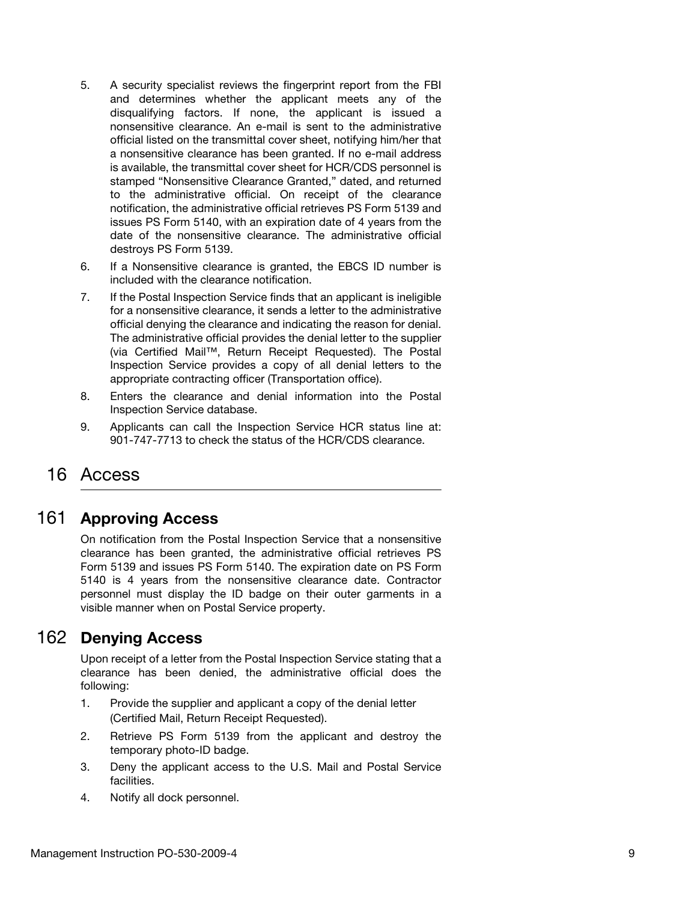- 5. A security specialist reviews the fingerprint report from the FBI and determines whether the applicant meets any of the disqualifying factors. If none, the applicant is issued a nonsensitive clearance. An e-mail is sent to the administrative official listed on the transmittal cover sheet, notifying him/her that a nonsensitive clearance has been granted. If no e-mail address is available, the transmittal cover sheet for HCR/CDS personnel is stamped "Nonsensitive Clearance Granted," dated, and returned to the administrative official. On receipt of the clearance notification, the administrative official retrieves PS Form 5139 and issues PS Form 5140, with an expiration date of 4 years from the date of the nonsensitive clearance. The administrative official destroys PS Form 5139.
- 6. If a Nonsensitive clearance is granted, the EBCS ID number is included with the clearance notification.
- 7. If the Postal Inspection Service finds that an applicant is ineligible for a nonsensitive clearance, it sends a letter to the administrative official denying the clearance and indicating the reason for denial. The administrative official provides the denial letter to the supplier (via Certified Mail™, Return Receipt Requested). The Postal Inspection Service provides a copy of all denial letters to the appropriate contracting officer (Transportation office).
- 8. Enters the clearance and denial information into the Postal Inspection Service database.
- 9. Applicants can call the Inspection Service HCR status line at: 901-747-7713 to check the status of the HCR/CDS clearance.

# <span id="page-8-0"></span>16 Access

### <span id="page-8-1"></span>161 Approving Access

On notification from the Postal Inspection Service that a nonsensitive clearance has been granted, the administrative official retrieves PS Form 5139 and issues PS Form 5140. The expiration date on PS Form 5140 is 4 years from the nonsensitive clearance date. Contractor personnel must display the ID badge on their outer garments in a visible manner when on Postal Service property.

# <span id="page-8-2"></span>162 Denying Access

Upon receipt of a letter from the Postal Inspection Service stating that a clearance has been denied, the administrative official does the following:

- 1. Provide the supplier and applicant a copy of the denial letter (Certified Mail, Return Receipt Requested).
- 2. Retrieve PS Form 5139 from the applicant and destroy the temporary photo-ID badge.
- 3. Deny the applicant access to the U.S. Mail and Postal Service facilities.
- 4. Notify all dock personnel.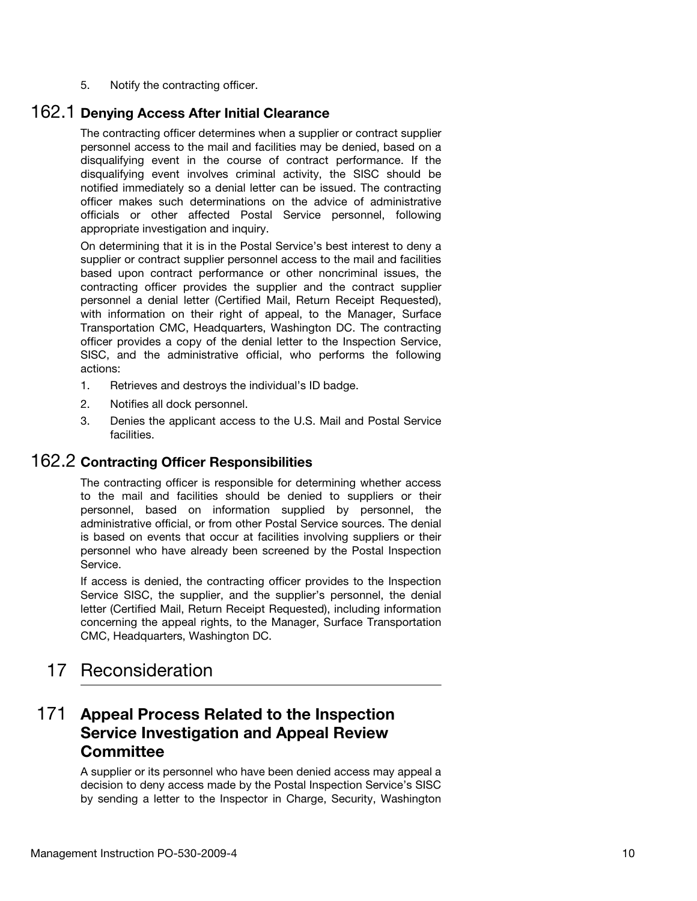5. Notify the contracting officer.

### <span id="page-9-0"></span>162.1 Denying Access After Initial Clearance

The contracting officer determines when a supplier or contract supplier personnel access to the mail and facilities may be denied, based on a disqualifying event in the course of contract performance. If the disqualifying event involves criminal activity, the SISC should be notified immediately so a denial letter can be issued. The contracting officer makes such determinations on the advice of administrative officials or other affected Postal Service personnel, following appropriate investigation and inquiry.

On determining that it is in the Postal Service's best interest to deny a supplier or contract supplier personnel access to the mail and facilities based upon contract performance or other noncriminal issues, the contracting officer provides the supplier and the contract supplier personnel a denial letter (Certified Mail, Return Receipt Requested), with information on their right of appeal, to the Manager, Surface Transportation CMC, Headquarters, Washington DC. The contracting officer provides a copy of the denial letter to the Inspection Service, SISC, and the administrative official, who performs the following actions:

- 1. Retrieves and destroys the individual's ID badge.
- 2. Notifies all dock personnel.
- 3. Denies the applicant access to the U.S. Mail and Postal Service facilities.

### <span id="page-9-1"></span>162.2 Contracting Officer Responsibilities

The contracting officer is responsible for determining whether access to the mail and facilities should be denied to suppliers or their personnel, based on information supplied by personnel, the administrative official, or from other Postal Service sources. The denial is based on events that occur at facilities involving suppliers or their personnel who have already been screened by the Postal Inspection Service.

If access is denied, the contracting officer provides to the Inspection Service SISC, the supplier, and the supplier's personnel, the denial letter (Certified Mail, Return Receipt Requested), including information concerning the appeal rights, to the Manager, Surface Transportation CMC, Headquarters, Washington DC.

# <span id="page-9-2"></span>17 Reconsideration

## <span id="page-9-3"></span>171 Appeal Process Related to the Inspection Service Investigation and Appeal Review **Committee**

A supplier or its personnel who have been denied access may appeal a decision to deny access made by the Postal Inspection Service's SISC by sending a letter to the Inspector in Charge, Security, Washington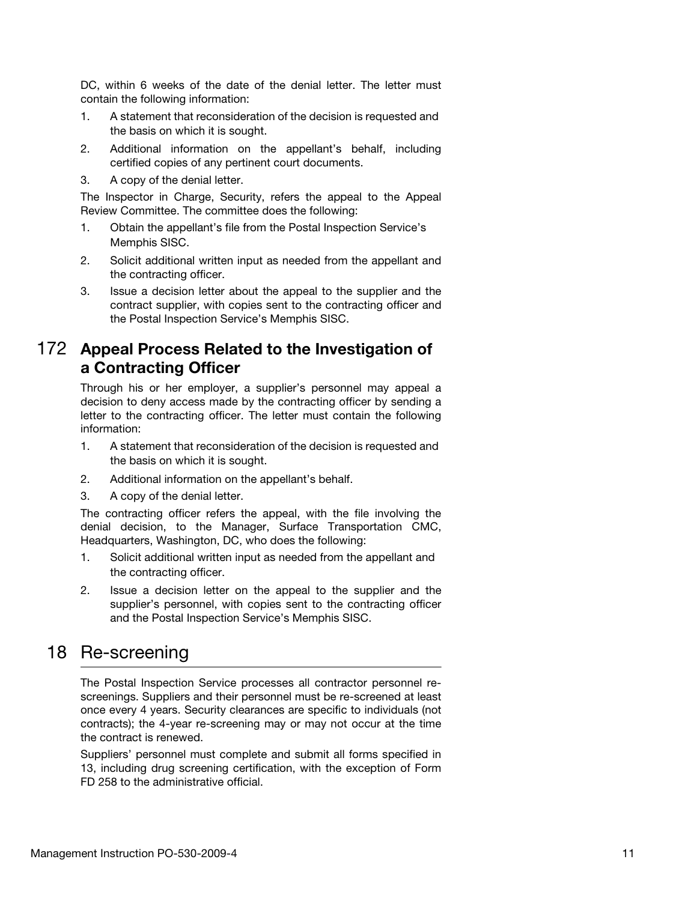DC, within 6 weeks of the date of the denial letter. The letter must contain the following information:

- 1. A statement that reconsideration of the decision is requested and the basis on which it is sought.
- 2. Additional information on the appellant's behalf, including certified copies of any pertinent court documents.
- 3. A copy of the denial letter.

The Inspector in Charge, Security, refers the appeal to the Appeal Review Committee. The committee does the following:

- 1. Obtain the appellant's file from the Postal Inspection Service's Memphis SISC.
- 2. Solicit additional written input as needed from the appellant and the contracting officer.
- 3. Issue a decision letter about the appeal to the supplier and the contract supplier, with copies sent to the contracting officer and the Postal Inspection Service's Memphis SISC.

### <span id="page-10-0"></span>172 Appeal Process Related to the Investigation of a Contracting Officer

Through his or her employer, a supplier's personnel may appeal a decision to deny access made by the contracting officer by sending a letter to the contracting officer. The letter must contain the following information:

- 1. A statement that reconsideration of the decision is requested and the basis on which it is sought.
- 2. Additional information on the appellant's behalf.
- 3. A copy of the denial letter.

The contracting officer refers the appeal, with the file involving the denial decision, to the Manager, Surface Transportation CMC, Headquarters, Washington, DC, who does the following:

- 1. Solicit additional written input as needed from the appellant and the contracting officer.
- 2. Issue a decision letter on the appeal to the supplier and the supplier's personnel, with copies sent to the contracting officer and the Postal Inspection Service's Memphis SISC.

# <span id="page-10-1"></span>18 Re-screening

The Postal Inspection Service processes all contractor personnel rescreenings. Suppliers and their personnel must be re-screened at least once every 4 years. Security clearances are specific to individuals (not contracts); the 4-year re-screening may or may not occur at the time the contract is renewed.

Suppliers' personnel must complete and submit all forms specified in 13, including drug screening certification, with the exception of Form FD 258 to the administrative official.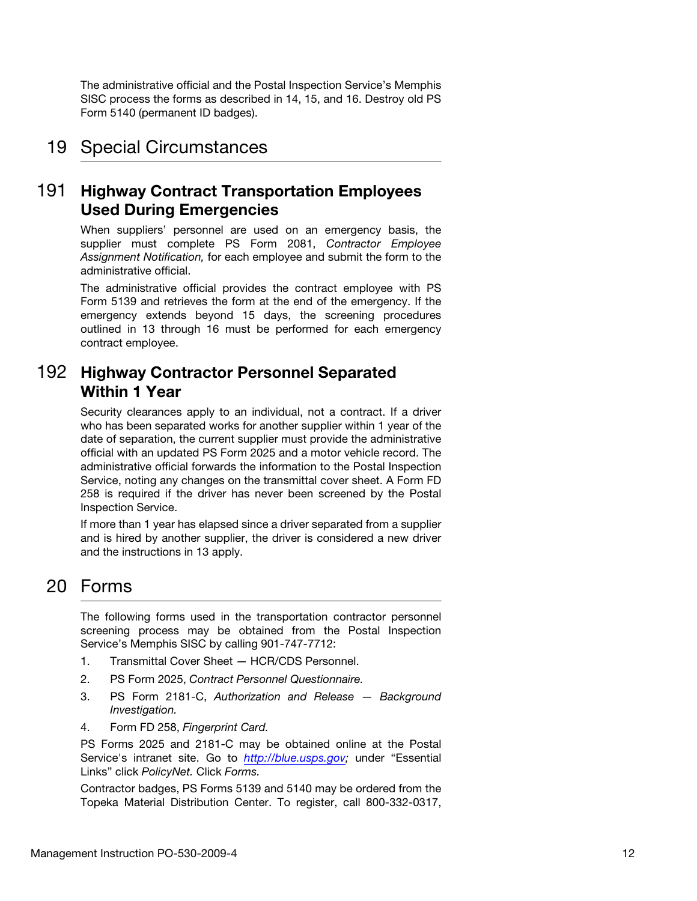The administrative official and the Postal Inspection Service's Memphis SISC process the forms as described in 14, 15, and 16. Destroy old PS Form 5140 (permanent ID badges).

## <span id="page-11-0"></span>19 Special Circumstances

### <span id="page-11-1"></span>191 Highway Contract Transportation Employees Used During Emergencies

When suppliers' personnel are used on an emergency basis, the supplier must complete PS Form 2081, Contractor Employee Assignment Notification, for each employee and submit the form to the administrative official.

The administrative official provides the contract employee with PS Form 5139 and retrieves the form at the end of the emergency. If the emergency extends beyond 15 days, the screening procedures outlined in 13 through 16 must be performed for each emergency contract employee.

### <span id="page-11-2"></span>192 Highway Contractor Personnel Separated Within 1 Year

Security clearances apply to an individual, not a contract. If a driver who has been separated works for another supplier within 1 year of the date of separation, the current supplier must provide the administrative official with an updated PS Form 2025 and a motor vehicle record. The administrative official forwards the information to the Postal Inspection Service, noting any changes on the transmittal cover sheet. A Form FD 258 is required if the driver has never been screened by the Postal Inspection Service.

If more than 1 year has elapsed since a driver separated from a supplier and is hired by another supplier, the driver is considered a new driver and the instructions in 13 apply.

# <span id="page-11-3"></span>20 Forms

The following forms used in the transportation contractor personnel screening process may be obtained from the Postal Inspection Service's Memphis SISC by calling 901-747-7712:

- 1. Transmittal Cover Sheet HCR/CDS Personnel.
- 2. PS Form 2025, Contract Personnel Questionnaire.
- 3. PS Form 2181-C, Authorization and Release Background Investigation.
- 4. Form FD 258, Fingerprint Card.

PS Forms 2025 and 2181-C may be obtained online at the Postal Service's intranet site. Go to [http://blue.usps.gov;](http://blue.usps.gov) under "Essential Links" click PolicyNet. Click Forms.

Contractor badges, PS Forms 5139 and 5140 may be ordered from the Topeka Material Distribution Center. To register, call 800-332-0317,